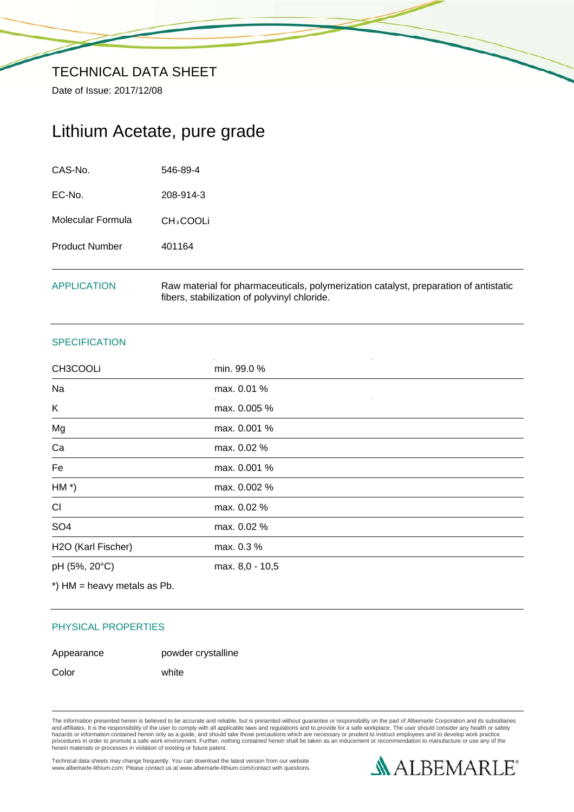Date of Issue: 2017/12/08

## Lithium Acetate, pure grade

| <b>APPLICATION</b>    | Raw material for pharmaceuticals, polymerization catalyst, preparation of antistatic<br>fibers, stabilization of polyvinyl chloride. |
|-----------------------|--------------------------------------------------------------------------------------------------------------------------------------|
| <b>Product Number</b> | 401164                                                                                                                               |
| Molecular Formula     | CH <sub>3</sub> COOLi                                                                                                                |
| EC-No.                | 208-914-3                                                                                                                            |
| CAS-No.               | 546-89-4                                                                                                                             |

### **SPECIFICATION**

| CH3COOLi           | min. 99.0 %     |  |
|--------------------|-----------------|--|
| Na                 | max. 0.01 %     |  |
| K                  | max. 0.005 %    |  |
| Mg                 | max. 0.001 %    |  |
| Ca                 | max. 0.02 %     |  |
| Fe                 | max. 0.001 %    |  |
| $HM*)$             | max. 0.002 %    |  |
| CI                 | max. 0.02 %     |  |
| SO <sub>4</sub>    | max. 0.02 %     |  |
| H2O (Karl Fischer) | max. 0.3 %      |  |
| pH (5%, 20°C)      | max. 8,0 - 10,5 |  |

\*) HM = heavy metals as Pb.

#### PHYSICAL PROPERTIES

# Appearance powder crystalline

Color white

The information presented herein is believed to be accurate and reliable, but is presented without guarantee or responsibility on the part of Albemarle Corporation and its subsidiaries<br>and affiliates. It is the responsibil

Technical data sheets may change frequently. You can download the latest version from our website www.albemarle-lithium.com. Please contact us at www.albemarle-lithium.com/contact with questions.

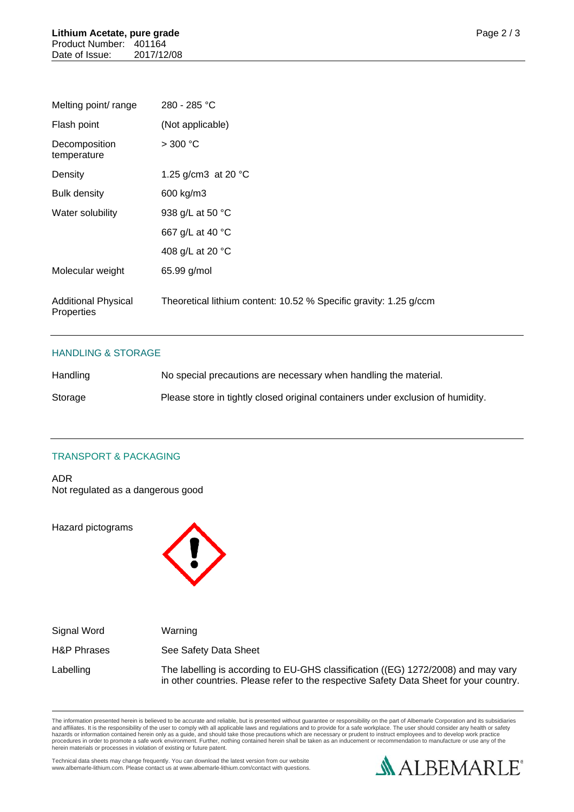| Melting point/ range                     | 280 - 285 °C                                                      |
|------------------------------------------|-------------------------------------------------------------------|
| Flash point                              | (Not applicable)                                                  |
| Decomposition<br>temperature             | $>$ 300 °C                                                        |
| Density                                  | 1.25 g/cm3 at 20 $^{\circ}$ C                                     |
| <b>Bulk density</b>                      | 600 kg/m3                                                         |
| Water solubility                         | 938 g/L at 50 °C                                                  |
|                                          | 667 g/L at 40 °C                                                  |
|                                          | 408 g/L at 20 °C                                                  |
| Molecular weight                         | 65.99 g/mol                                                       |
| <b>Additional Physical</b><br>Properties | Theoretical lithium content: 10.52 % Specific gravity: 1.25 g/ccm |

### HANDLING & STORAGE

| Handling | No special precautions are necessary when handling the material.                |
|----------|---------------------------------------------------------------------------------|
| Storage  | Please store in tightly closed original containers under exclusion of humidity. |

## TRANSPORT & PACKAGING

ADR Not regulated as a dangerous good

Hazard pictograms



| Signal Word            | Warning                                                                                                                                                                     |
|------------------------|-----------------------------------------------------------------------------------------------------------------------------------------------------------------------------|
| <b>H&amp;P Phrases</b> | See Safety Data Sheet                                                                                                                                                       |
| Labelling              | The labelling is according to EU-GHS classification ((EG) 1272/2008) and may vary<br>in other countries. Please refer to the respective Safety Data Sheet for your country. |

The information presented herein is believed to be accurate and reliable, but is presented without guarantee or responsibility on the part of Albemarle Corporation and its subsidiaries<br>and affiliates. It is the responsibil

Technical data sheets may change frequently. You can download the latest version from our website www.albemarle-lithium.com. Please contact us at www.albemarle-lithium.com/contact with questions.